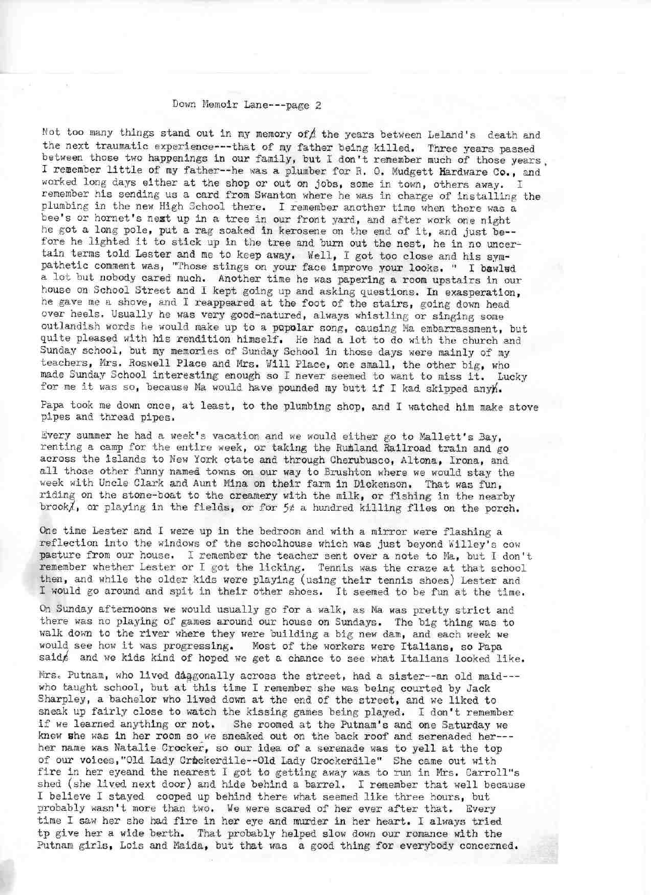## Down Memoir Lane --- page 2

Not too many things stand out in my memory of  $\Lambda$  the years between Leland's death and the next traumatic experience --- that of my father being killed. Three years passed between those two happenings in our family, but I don't remember much of those years, I remember little of my father--he was a plumber for R. O. Mudgett Hardware Co., and worked long days either at the shop or out on jobs, some in town, others away. I remember his sending us a card from Swanton where he was in charge of installing the plumbing in the new High School there. I remember another time when there was a bee's or hornet's nest up in a tree in our front yard, and after work one night he got a long pole, put a rag soaked in kerosene on the end of it, and just be-fore he lighted it to stick up in the tree and burn out the nest, he in no uncertain terras told Lester and me to keep away. Well, I got too close and his sympathetic comment was, "Those stings on your face improve your looks. " I bawled a lot but nobody cared much, Another time he was papering a room upstairs in our house on School Street and I kept going up and asking questions. In exasperation, he gave me a shove, and I reappeared at the foot of the stairs, going down head over heels. Usually he was very good-natured, always whistling or singing some outlandish words he would make up to a popolar song, causing Ma embarrassment, but quite pleased with his rendition himself. He had a lot to do with the church and Sunday school, but my memories of Sunday School in those days were mainly of my teachers, Mrs. Roswell Place and Mrs. Will Place, one small, the other big, who made Sunday School interesting enough so I never seemed to want to miss it. Lucky for me it was so, because Ma would have pounded my butt if I kad skipped anyh.

Papa took me down once, at least, to the plumbing shop, and I watched him make stove pipes and thread pipes.

Every summer he had a week's vacation and we would either go to Mallett's Bay, renting a camp for the entire week, or taking the Rutland Railroad train and go across the islands to New York ctate and through Cherubusco, Altona, Irona, and all those other funny named towns on our way to Brushton where we would stay the week with Uncle Clark and Aunt Mina on their farm in Dickenson. That was fun, riding on the stone-boat to the creamery with the milk, or fishing in the nearby brook/, or playing in the fields, or for  $5¢$  a hundred killing flies on the porch.

One time Lester and I were up in the bedroom and with a mirror were flashing a reflection into the windows of the schoolhouse which was just beyond Willey's cow pasture from our house, I remember the teacher sent over a note to Ma, but I don't remember whether Lester or I got the licking. Tennis was the craze at that school then, and while the older kids were playing (using their tennis shoes) Lester and I would go around and spit in their other shoes. It seemed to be fun at the time.

On Sunday afternoons we would usually go for a walk, as Ma was pretty strict and there was no playing of games around our house on Sundays. The big thing was to walk down to the river where they were building a big new dam, and each week we would see how it was progressing. Most of the workers were Italians, so Papa said and we kids kind of hoped we get a chance to see what Italians looked like.

Mrs. Putnam, who lived daggonally across the street, had a sister--an old maid--who taught school, but at this time I remember she was being courted by Jack Sharpley, a bachelor who lived down at the end of the street, and we liked to sneak up fairly close to watch the kissing games being played. I don't remember if we learned anything or not. She roomed at the Putnam's and one Saturday we knew she was in her room so we sneaked out on the back roof and serenaded her--her name was Natalie Crocker, so our idea of a serenade was to yell at the top of our voices, "Old Lady Crickerdile -- Old Lady Crockerdile" She came out with fire in her eyeand the nearest I got to getting away was to run in Mrs. Garroll"s shed (she lived next door) and hide behind a barrel. I remember that well because I believe I stayed cooped up behind there what seemed like three hours, but probably wasn't more than two. Me were scared of her ever after that. Every time I saw her she had fire in her eye and murder in her heart. I always tried tp give her a wide berth. That probably helped slow down our romance with the Putnam girls, Lois and Maida, but that was a good thing for everybody concerned.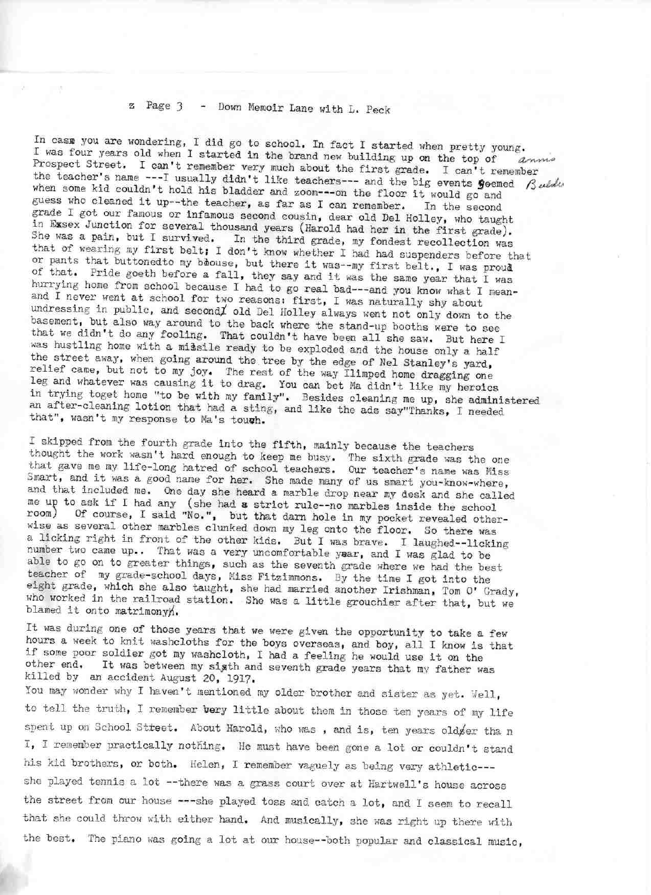## z Page 3 - Down Memoir Lane with L. Peck

In case you are wondering, I did go to school. In fact I started when pretty young. I was four years old when I started in the brand new building up on the top of Prospect Street. I can't remember very much about the first grade. I can't remember the teacher's name ---I usually didn't like teachers --- and the big events geemed  $\beta$ uldu when some kid couldn't hold his bladder and zoom---on the floor it would go and guess who cleaned it up--the teacher, as far as I can remember. In the second grade I got our famous or infamous second cousin, dear old Del Holley, who taught in Essex Junction for several thousand years (Harold had her in the first grade). She was a pain, but I survived. In the third grade, my fondest recollection was that of wearing my first belt; 1 don't know whether 1 had had suspenders before that or pants that buttonedto my boouse, but there it was--my first belt., I was proud of that. Pride goeth before a fall, they say and it was the same year that I was hurrying home from school because I had to go real bad---and you know what I meanand I never went at school for two reasons: first, I was naturally shy about undressing in public, and second old Del Holley always went not only down to the basement, but also way around to the back where the stand-up booths were to see that we didn't do any fooling. That couldn't have been all she saw. But here I was hustling home with a missile ready to be exploded and the house only a half the street away, when going around the tree by the edge of Nel Stanley's yard, relief came, but not to my joy. The rest of the way llimped home dragging one leg and whatever was causing it to drag. You can bet Ma didn't like my heroics in trying toget home "to be with my family". Besides cleaning me up, she administered an after-cleaning lotion that had a sting, and like the ads say"Thanks, I needed that", wasn't my response to Ma's toush.

I skipped from the fourth grade into the fifth, mainly because the teachers thought the work wasn't hard enough to keep me busy, The sixth grade was the one that gave me my life-long hatred of school teachers. Our teacher's name was Miss Smart, and it was a good name for her. She made many of us smart you-know-where, and that included me. One day she heard a marble drop near my desk and she called e up to ask if I had any (she had a strict rule-no marbles inside the school com) Of course, I said "No.", but that darn hole in my pocket revealed otherwise as several other marbles clunked down my leg onto the floor. So there was a licking right in front of the other kids. But I was brave. I laughed—licking number two came up.. That was a very uncomfortable yaar, and I was glad to be able to go on to greater things, such as the seventh grade where we had the best teacher of my grade-school days, Miss Fitzimmons. By the time I got into the eight grade, which she also taught, she had married another Irishman, Tom 0' Grady, who worked in the railroad station. She was a little grouchier after that, but we blamed it onto matrimonyh.

It was during one of those years that we were given the opportunity to take a few hours a week to knit washcloths for the boys overseas, and boy, all I know is that if some poor soldier got my washcloth, I had a feeling he would use it on the other end. It was between my sipth and seventh grade years that my father was killed by an accident August 20, 191?.

You may wonder why I haven't mentioned my older brother and sister as yet. Well, to tell the truth, I remember **be**ry little about them in those ten years of my life spent up on School Street. About Harold, who was, and is, ten years old fer tha n I, I remember practically nothing. He must have been gone a lot or couldn't stand his kid brothers, or both. Helen, I remember vaguely as being very athletic--she played tennis a lot --there was a grass court over at Hartwell's house across the street from our house ---she played toss and catch a lot, and I seem to recall that she could throw with either hand, And musically, she was right up there with the best. The piano was going a lot at our house—both popular and classical music,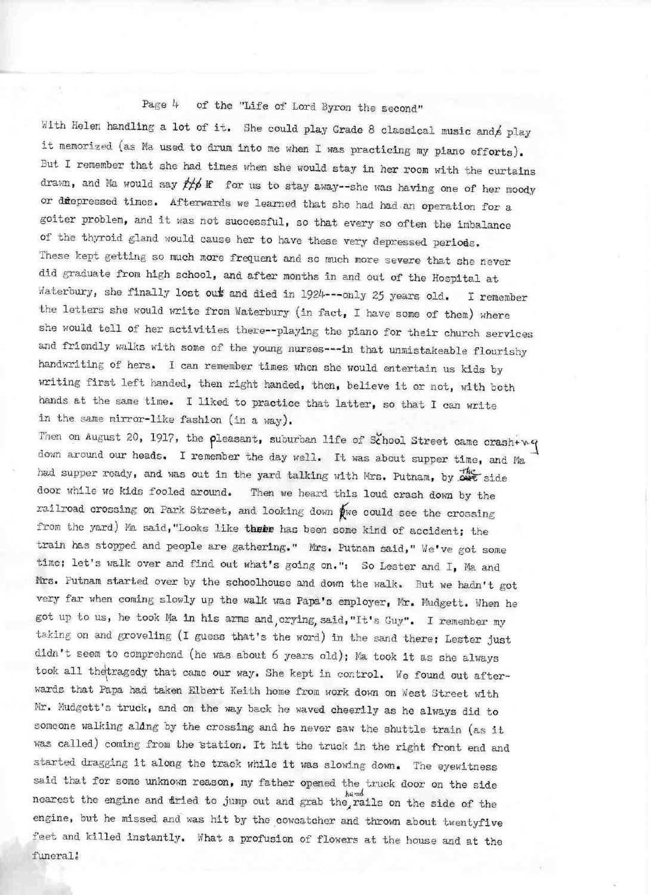## Page 4 of the "Life of Lord Byron the second"

With Helen handling a lot of it. She could play Grade 8 classical music and  $/$  play it memorized (as Ma used to drum into me when I was practicing my piano efforts). But I remember that she had. times when she would stay in her room with the curtains drawn, and Ma would say  $#p$  If for us to stay away--she was having one of her moody or diffepressed times. Afterwards we learned that she had had an operation for a goiter problem, and it was not successful, so that every so often the imbalance of the thyroid gland would cause her to have these very depressed periods. These kept getting so much more frequent and so much more severe that she never did graduate from high school, and after months in and out of the Hospital at Waterbury, she finally lost out and died in 1924---only 25 years old. I remember the letters she would write from Waterbury (in fact, I have some of them) where she would tell of her activities there—playing the piano for their church services and friendly walks with some of the young nurses---in that unmistakeable flourishy handwriting of hers. I can remember times when she would entertain us kids by writing first left handed, then right handed, then, believe it or not, with both hands at the same time. I liked to practice that latter, so that I can write in the same mirror-like fashion (in a way).

Then on August 20, 1917, the pleasant, suburban life of School Street came crash+ $wq$ down around our heads. I remember the day well. It was about supper time, and Ma had supper ready, and was out in the yard talking with Mrs. Putnam, by  $\frac{100}{1000}$  side door while we kids fooled around. Then we heard this loud crash down by the railroad crossing on Park Street, and looking down  $\oint$ we could see the crossing from the yard) Ma said, "Looks like their has been some kind of accident; the train has stopped and people are gathering." Mrs. Putnam said," We've got some time; let's walk over and find out what's going on.": So Lester and I, Ma and Mrs. Putnam started over by the schoolhouse and down the walk. But we hadn't got very far when coming slowly up the walk was Papa's employer, Mr. Mudgett. When he got up to us, he took Ma in his arms and crying, said, "It's Guy". I remember my taking on and groveling (I guess that's the word) in the sand there; Lester just didn't seem to comprehend (he was about 6 years old); Ma took it as she always took all the tragedy that came our way. She kept in control. We found out afterwards that Papa had taken Elbert Keith home from work down on West Street with Mr. Mudgett's truck, and on the way back he waved cheerily as he always did to someone walking aldng by the crossing and he never saw the shuttle train (as it was called) coming from the station. It hit the truck in the right front end and started dragging it along the track while it was slowing down. The eyewitness id that for some unknown reason, my father opened the truck door on the side nearest the engine and dried to jump out and grab the, rails on the side of the engine, but he missed and was hit by the cowcatcher and thrown about twentyfive feet and killed instantly. Hhat a, profusion of flowers at the house and at the funeral!